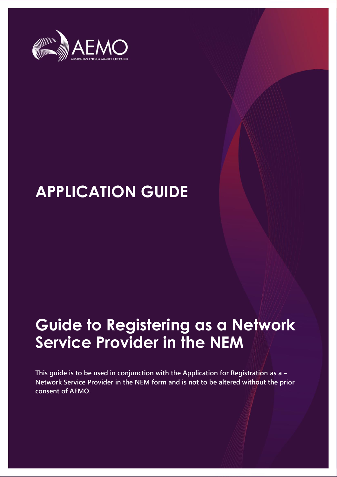

# **APPLICATION GUIDE**

# **Guide to Registering as a Network Service Provider in the NEM**

**This guide is to be used in conjunction with the Application for Registration as a – Network Service Provider in the NEM form and is not to be altered without the prior consent of AEMO.**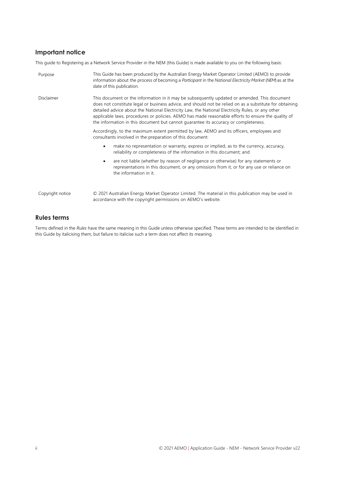### **Important notice**

This guide to Registering as a Network Service Provider in the NEM (this Guide) is made available to you on the following basis:

| Purpose           | This Guide has been produced by the Australian Energy Market Operator Limited (AEMO) to provide<br>information about the process of becoming a Participant in the National Electricity Market (NEM) as at the<br>date of this publication.                                                                                                                                                                                                                                                               |  |
|-------------------|----------------------------------------------------------------------------------------------------------------------------------------------------------------------------------------------------------------------------------------------------------------------------------------------------------------------------------------------------------------------------------------------------------------------------------------------------------------------------------------------------------|--|
| <b>Disclaimer</b> | This document or the information in it may be subsequently updated or amended. This document<br>does not constitute legal or business advice, and should not be relied on as a substitute for obtaining<br>detailed advice about the National Electricity Law, the National Electricity Rules, or any other<br>applicable laws, procedures or policies. AEMO has made reasonable efforts to ensure the quality of<br>the information in this document but cannot quarantee its accuracy or completeness. |  |
|                   | Accordingly, to the maximum extent permitted by law, AEMO and its officers, employees and<br>consultants involved in the preparation of this document:                                                                                                                                                                                                                                                                                                                                                   |  |
|                   | make no representation or warranty, express or implied, as to the currency, accuracy,<br>reliability or completeness of the information in this document; and                                                                                                                                                                                                                                                                                                                                            |  |
|                   | are not liable (whether by reason of negligence or otherwise) for any statements or<br>٠<br>representations in this document, or any omissions from it, or for any use or reliance on<br>the information in it.                                                                                                                                                                                                                                                                                          |  |
| Copyright notice  | © 2021 Australian Energy Market Operator Limited. The material in this publication may be used in<br>accordance with the copyright permissions on AEMO's website.                                                                                                                                                                                                                                                                                                                                        |  |

### **Rules terms**

Terms defined in the *Rules* have the same meaning in this Guide unless otherwise specified. These terms are intended to be identified in this Guide by italicising them, but failure to italicise such a term does not affect its meaning.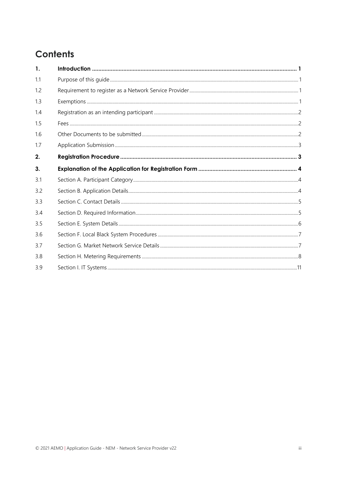# **Contents**

| $\mathbf{1}$ . |  |
|----------------|--|
| 1.1            |  |
| 1.2            |  |
| 1.3            |  |
| 1.4            |  |
| 1.5            |  |
| 1.6            |  |
| 1.7            |  |
| 2.             |  |
| 3.             |  |
| 3.1            |  |
| 3.2            |  |
| 3.3            |  |
| 3.4            |  |
| 3.5            |  |
| 3.6            |  |
|                |  |
| 3.7            |  |
| 3.8            |  |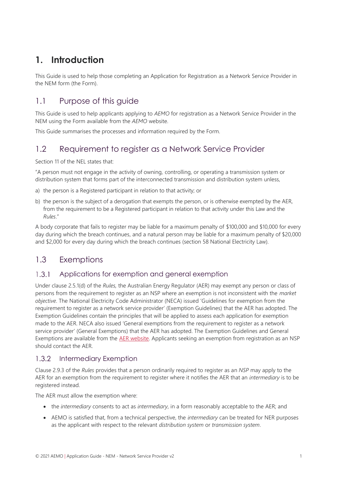# <span id="page-4-0"></span>**1. Introduction**

This Guide is used to help those completing an Application for Registration as a Network Service Provider in the NEM form (the Form).

### <span id="page-4-1"></span>1.1 Purpose of this guide

This Guide is used to help applicants applying to *AEMO* for registration as a Network Service Provider in the NEM using the Form available from the *AEMO* website.

This Guide summarises the processes and information required by the Form.

### <span id="page-4-2"></span>1.2 Requirement to register as a Network Service Provider

Section 11 of the NEL states that:

"A person must not engage in the activity of owning, controlling, or operating a transmission system or distribution system that forms part of the interconnected transmission and distribution system unless,

- a) the person is a Registered participant in relation to that activity; or
- b) the person is the subject of a derogation that exempts the person, or is otherwise exempted by the AER, from the requirement to be a Registered participant in relation to that activity under this Law and the *Rules*."

A body corporate that fails to register may be liable for a maximum penalty of \$100,000 and \$10,000 for every day during which the breach continues, and a natural person may be liable for a maximum penalty of \$20,000 and \$2,000 for every day during which the breach continues (section 58 National Electricity Law).

### <span id="page-4-3"></span>1.3 Exemptions

#### $1.3.1$ Applications for exemption and general exemption

Under clause 2.5.1(d) of the *Rules,* the Australian Energy Regulator (AER) may exempt any person or class of persons from the requirement to register as an NSP where an exemption is not inconsistent with the *market objective*. The National Electricity Code Administrator (NECA) issued 'Guidelines for exemption from the requirement to register as a network service provider' (Exemption Guidelines) that the AER has adopted. The Exemption Guidelines contain the principles that will be applied to assess each application for exemption made to the AER. NECA also issued 'General exemptions from the requirement to register as a network service provider' (General Exemptions) that the AER has adopted. The Exemption Guidelines and General Exemptions are available from the [AER website.](http://www.aer.gov.au/) Applicants seeking an exemption from registration as an NSP should contact the AER.

#### $1.3.2$ Intermediary Exemption

Clause 2.9.3 of the *Rules* provides that a person ordinarily required to register as an *NSP* may apply to the AER for an exemption from the requirement to register where it notifies the AER that an *intermediary* is to be registered instead.

The AER must allow the exemption where:

- the *intermediary* consents to act as *intermediary*, in a form reasonably acceptable to the AER; and
- AEMO is satisfied that, from a technical perspective, the *intermediary* can be treated for NER purposes as the applicant with respect to the relevant *distribution system* or *transmission system*.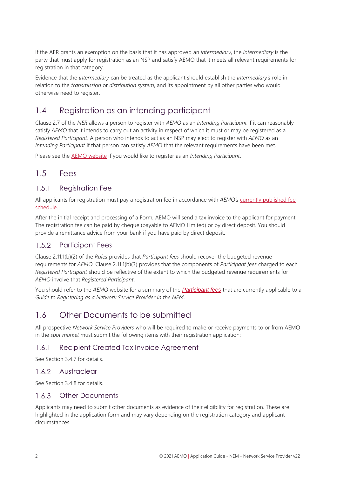If the AER grants an exemption on the basis that it has approved an *intermediary*, the *intermediary* is the party that must apply for registration as an NSP and satisfy AEMO that it meets all relevant requirements for registration in that category.

Evidence that the *intermediary* can be treated as the applicant should establish the *intermediary's* role in relation to the *transmission* or *distribution system*, and its appointment by all other parties who would otherwise need to register.

### <span id="page-5-0"></span>1.4 Registration as an intending participant

Clause 2.7 of the *NER* allows a person to register with *AEMO* as an *Intending Participant* if it can reasonably satisfy AEMO that it intends to carry out an activity in respect of which it must or may be registered as a *Registered Participant*. A person who intends to act as an NSP may elect to register with *AEMO* as an *Intending Participant* if that person can satisfy *AEMO* that the relevant requirements have been met.

Please see the [AEMO website](https://aemo.com.au/energy-systems/electricity/national-electricity-market-nem/participate-in-the-market/registration/register-as-an-intending-participant-in-the-nem) if you would like to register as an *Intending Participant*.

### <span id="page-5-1"></span>1.5 Fees

#### $1.5.1$ Registration Fee

All applicants for registration must pay a registration fee in accordance with *AEMO's* [currently published fee](http://aemo.com.au/About-AEMO/Energy-market-budget-and-fees)  [schedule.](http://aemo.com.au/About-AEMO/Energy-market-budget-and-fees)

After the initial receipt and processing of a Form, AEMO will send a tax invoice to the applicant for payment. The registration fee can be paid by cheque (payable to AEMO Limited) or by direct deposit. You should provide a remittance advice from your bank if you have paid by direct deposit.

#### $1.5.2$ Participant Fees

Clause 2.11.1(b)(2) of the *Rules* provides that *Participant fees* should recover the budgeted revenue requirements for *AEMO.* Clause 2.11.1(b)(3) provides that the components of *Participant fees* charged to each *Registered Participant* should be reflective of the extent to which the budgeted revenue requirements for *AEMO* involve that *Registered Participant*.

You should refer to the *AEMO* website for a summary of the *[Participant fees](http://aemo.com.au/About-AEMO/Energy-market-budget-and-fees)* that are currently applicable to a *Guide to Registering as a Network Service Provider in the NEM*.

### <span id="page-5-2"></span>1.6 Other Documents to be submitted

All prospective *Network Service Providers* who will be required to make or receive payments to or from AEMO in the *spot market* must submit the following items with their registration application:

#### $1.6.1$ Recipient Created Tax Invoice Agreement

See Sectio[n 3.4.7](#page-9-1) for details.

### 1.6.2 Austraclear

See Sectio[n 3.4.8](#page-9-2) for details.

#### Other Documents  $1.6.3$

Applicants may need to submit other documents as evidence of their eligibility for registration. These are highlighted in the application form and may vary depending on the registration category and applicant circumstances.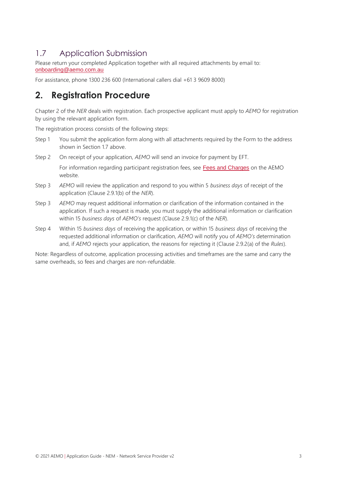### <span id="page-6-0"></span>1.7 Application Submission

Please return your completed Application together with all required attachments by email to: [onboarding@aemo.com.au](mailto:onboarding@aemo.com.au)

For assistance, phone 1300 236 600 (International callers dial +61 3 9609 8000)

## <span id="page-6-1"></span>**2. Registration Procedure**

Chapter 2 of the *NER* deals with registration. Each prospective applicant must apply to *AEMO* for registration by using the relevant application form.

The registration process consists of the following steps:

- Step 1 You submit the application form along with all attachments required by the Form to the address shown in Section 17 above.
- Step 2 On receipt of your application, *AEMO* will send an invoice for payment by EFT. For information regarding participant registration fees, see [Fees and Charges](http://www.aemo.com.au/Electricity/National-Electricity-Market-NEM/Participant-information/Fees-and-charges) on the AEMO website.
- Step 3 *AEMO* will review the application and respond to you within 5 *business days* of receipt of the application (Clause 2.9.1(b) of the *NER*).
- Step 3 *AEMO* may request additional information or clarification of the information contained in the application. If such a request is made, you must supply the additional information or clarification within 15 *business days* of *AEMO's* request (Clause 2.9.1(c) of the *NER*).
- Step 4 Within 15 *business days* of receiving the application, or within 15 *business days* of receiving the requested additional information or clarification, *AEMO* will notify you of *AEMO's* determination and, if *AEMO* rejects your application, the reasons for rejecting it (Clause 2.9.2(a) of the *Rules*).

Note: Regardless of outcome, application processing activities and timeframes are the same and carry the same overheads, so fees and charges are non-refundable.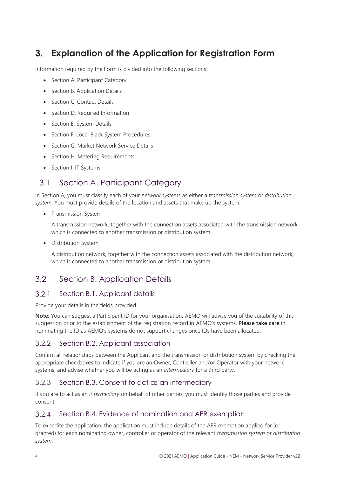## <span id="page-7-0"></span>**3. Explanation of the Application for Registration Form**

Information required by the Form is divided into the following sections:

- [Section A. Participant Category](#page-7-1)
- [Section B. Application Details](#page-7-2)
- [Section C. Contact Details](#page-8-0)
- [Section D. Required Information](#page-8-1)
- [Section E. System Details](#page-9-0)
- [Section F. Local Black System Procedures](#page-10-0)
- [Section G. Market Network Service](#page-10-1) Details
- [Section H. Metering](#page-11-0) Requirements
- Section I. [IT Systems](#page-14-0)

### <span id="page-7-1"></span>3.1 Section A. Participant Category

In Section A, you must classify each of your *network systems* as either a *transmission system* or *distribution system*. You must provide details of the location and assets that make up the system.

• Transmission System

A transmission network, together with the connection assets associated with the transmission network, which is connected to another transmission or distribution system.

• Distribution System

A distribution network, together with the connection assets associated with the distribution network, which is connected to another transmission or distribution system.

### <span id="page-7-2"></span>3.2 Section B. Application Details

#### $3.2.1$ Section B.1. Applicant details

Provide your details in the fields provided.

**Note:** You can suggest a Participant ID for your organisation. AEMO will advise you of the suitability of this suggestion prior to the establishment of the registration record in AEMO's systems. **Please take care** in nominating the ID as AEMO's systems do not support changes once IDs have been allocated.

#### $3.2.2$ Section B.2. Applicant association

Confirm all relationships between the Applicant and the transmission or distribution system by checking the appropriate checkboxes to indicate if you are an Owner, Controller and/or Operator with your network systems, and advise whether you will be acting as an *intermediary* for a third party.

#### $3.2.3$ Section B.3. Consent to act as an intermediary

If you are to act as an *intermediary* on behalf of other parties, you must identify those parties and provide consent.

#### $3.2.4$ Section B.4. Evidence of nomination and AER exemption

To expedite the application, the application must include details of the AER exemption applied for (or granted) for each nominating owner, controller or operator of the relevant *transmission system* or *distribution system*.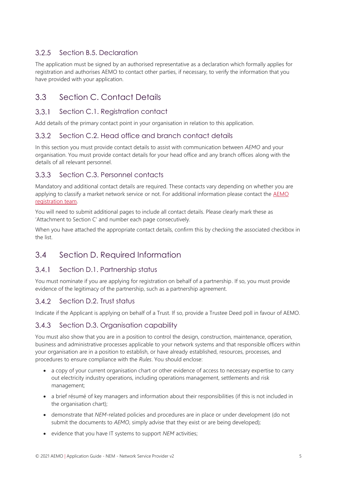#### $3.2.5$ Section B.5. Declaration

The application must be signed by an authorised representative as a declaration which formally applies for registration and authorises AEMO to contact other parties, if necessary, to verify the information that you have provided with your application.

### <span id="page-8-0"></span>3.3 Section C. Contact Details

#### $3.3.1$ Section C.1. Registration contact

Add details of the primary contact point in your organisation in relation to this application.

#### $3.3.2$ Section C.2. Head office and branch contact details

In this section you must provide contact details to assist with communication between *AEMO* and your organisation. You must provide contact details for your head office and any branch offices along with the details of all relevant personnel.

#### $3.3.3$ Section C.3. Personnel contacts

Mandatory and additional contact details are required. These contacts vary depending on whether you are applying to classify a market network service or not. For additional information please contact the [AEMO](mailto:onboarding@aemo.com.au) [registration team.](mailto:onboarding@aemo.com.au)

You will need to submit additional pages to include all contact details. Please clearly mark these as 'Attachment to Section C' and number each page consecutively.

When you have attached the appropriate contact details, confirm this by checking the associated checkbox in the list.

### <span id="page-8-1"></span>3.4 Section D. Required Information

#### $3.4.1$ Section D.1. Partnership status

You must nominate if you are applying for registration on behalf of a partnership. If so, you must provide evidence of the legitimacy of the partnership, such as a partnership agreement.

#### $3.4.2$ Section D.2. Trust status

Indicate if the Applicant is applying on behalf of a Trust. If so, provide a Trustee Deed poll in favour of AEMO.

#### Section D.3. Organisation capability  $3.4.3$

You must also show that you are in a position to control the design, construction, maintenance, operation, business and administrative processes applicable to your network systems and that responsible officers within your organisation are in a position to establish, or have already established, resources, processes, and procedures to ensure compliance with the *Rules*. You should enclose:

- a copy of your current organisation chart or other evidence of access to necessary expertise to carry out electricity industry operations, including operations management, settlements and risk management;
- a brief résumé of key managers and information about their responsibilities (if this is not included in the organisation chart);
- demonstrate that *NEM*-related policies and procedures are in place or under development (do not submit the documents to *AEMO*, simply advise that they exist or are being developed);
- evidence that you have IT systems to support *NEM* activities;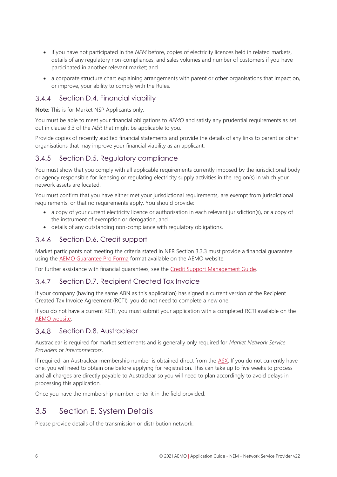- if you have not participated in the *NEM* before, copies of electricity licences held in related markets, details of any regulatory non-compliances, and sales volumes and number of customers if you have participated in another relevant market; and
- a corporate structure chart explaining arrangements with parent or other organisations that impact on, or improve, your ability to comply with the Rules.

#### $3.4.4$ Section D.4. Financial viability

**Note:** This is for Market NSP Applicants only.

You must be able to meet your financial obligations to *AEMO* and satisfy any prudential requirements as set out in clause 3.3 of the *NER* that might be applicable to you.

Provide copies of recently audited financial statements and provide the details of any links to parent or other organisations that may improve your financial viability as an applicant.

#### $3.4.5$ Section D.5. Regulatory compliance

You must show that you comply with all applicable requirements currently imposed by the jurisdictional body or agency responsible for licensing or regulating electricity supply activities in the region(s) in which your network assets are located.

You must confirm that you have either met your jurisdictional requirements, are exempt from jurisdictional requirements, or that no requirements apply. You should provide:

- a copy of your current electricity licence or authorisation in each relevant jurisdiction(s), or a copy of the instrument of exemption or derogation, and
- details of any outstanding non-compliance with regulatory obligations.

#### <span id="page-9-3"></span> $3.4.6$ Section D.6. Credit support

Market participants not meeting the criteria stated in NER Section 3.3.3 must provide a financial guarantee using th[e AEMO Guarantee Pro Forma](https://www.aemo.com.au/-/media/files/about_aemo/aemo-bank-guarantee-pro-forma.pdf?la=en) format available on the AEMO website.

For further assistance with financial guarantees, see the [Credit Support Management Guide.](https://www.aemo.com.au/-/media/files/about_aemo/guide_to_aemo_credit_support_management_april_2014.pdf)

#### <span id="page-9-1"></span> $3.4.7$ Section D.7. Recipient Created Tax Invoice

If your company (having the same ABN as this application) has signed a current version of the Recipient Created Tax Invoice Agreement (RCTI), you do not need to complete a new one.

If you do not have a current RCTI, you must submit your application with a completed RCTI available on the [AEMO website.](https://www.aemo.com.au/-/media/files/about_aemo/recipient-created-tax-invoice-agreement.docx?la=en)

#### <span id="page-9-2"></span> $3.4.8$ Section D.8. Austraclear

Austraclear is required for market settlements and is generally only required for *Market Network Service Providers* or *interconnectors*.

If required, an Austraclear membership number is obtained direct from the [ASX.](https://www.asx.com.au/services/settlement/austraclear.htm) If you do not currently have one, you will need to obtain one before applying for registration. This can take up to five weeks to process and all charges are directly payable to Austraclear so you will need to plan accordingly to avoid delays in processing this application.

<span id="page-9-0"></span>Once you have the membership number, enter it in the field provided.

### 3.5 Section E. System Details

Please provide details of the transmission or distribution network.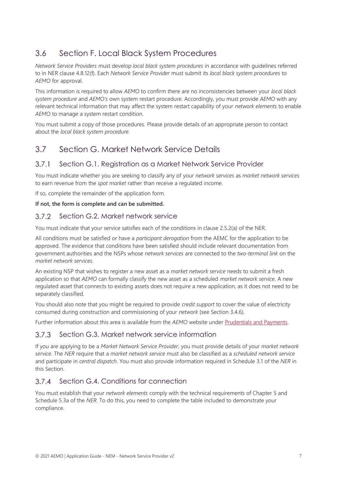### <span id="page-10-0"></span>3.6 Section F. Local Black System Procedures

*Network Service Providers* must develop *local black system procedures* in accordance with guidelines referred to in NER clause 4.8.12(f). Each *Network Service Provider* must submit its *local black system procedures* to *AEMO* for approval.

This information is required to allow *AEMO* to confirm there are no inconsistencies between your *local black system procedure* and *AEMO's* own system restart procedure. Accordingly, you must provide *AEMO* with any relevant technical information that may affect the system restart capability of your *network elements* to enable *AEMO* to manage a system restart condition.

You must submit a copy of those procedures. Please provide details of an appropriate person to contact about the *local black system procedure*.

### <span id="page-10-1"></span>3.7 Section G. Market Network Service Details

#### $3.7.1$ Section G.1. Registration as a Market Network Service Provider

You must indicate whether you are seeking to classify any of your *network services* as *market network services* to earn revenue from the *spot market* rather than receive a regulated income.

If so, complete the remainder of the application form.

### **If not, the form is complete and can be submitted.**

#### $3.7.2$ Section G.2. Market network service

You must indicate that your service satisfies each of the conditions in clause 2.5.2(a) of the NER.

All conditions must be satisfied or have a *participant derogation* from the AEMC for the application to be approved. The evidence that conditions have been satisfied should include relevant documentation from government authorities and the NSPs whose *network services* are connected to the *two-terminal link* on the *market network services*.

An existing NSP that wishes to register a new asset as a *market network service* needs to submit a fresh application so that *AEMO* can formally classify the new asset as a scheduled *market network service*. A new regulated asset that connects to existing assets does not require a new application, as it does not need to be separately classified.

You should also note that you might be required to provide *credit support* to cover the value of electricity consumed during construction and commissioning of your *network* (see Section [3.4.6\)](#page-9-3).

Further information about this area is available from the *AEMO* website under [Prudentials and Payments.](http://www.aemo.com.au/Electricity/National-Electricity-Market-NEM/Settlements-and-payments/Prudentials-and-payments)

#### $3.7.3$ Section G.3. Market network service information

If you are applying to be a *Market Network Service Provider*, you must provide details of your *market network service*. The *NER* require that a *market network service* must also be classified as a *scheduled network service* and participate in *central dispatch*. You must also provide information required in Schedule 3.1 of the *NER* in this Section.

#### $3.7.4$ Section G.4. Conditions for connection

You must establish that your *network elements* comply with the technical requirements of Chapter 5 and Schedule 5.3a of the *NER*. To do this, you need to complete the table included to demonstrate your compliance.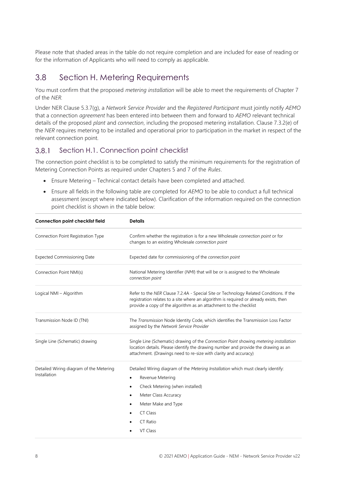Please note that shaded areas in the table do not require completion and are included for ease of reading or for the information of Applicants who will need to comply as applicable.

### <span id="page-11-0"></span>3.8 Section H. Metering Requirements

You must confirm that the proposed *metering installation* will be able to meet the requirements of Chapter 7 of the *NER.*

Under NER Clause 5.3.7(g), a *Network Service Provider* and the *Registered Participant* must jointly notify *AEMO* that a connection *agreement* has been entered into between them and forward to *AEMO* relevant technical details of the proposed *plant* and *connection*, including the proposed metering installation. Clause 7.3.2(e) of the *NER* requires metering to be installed and operational prior to participation in the market in respect of the relevant connection point.

#### $3.8.1$ Section H.1. Connection point checklist

The connection point checklist is to be completed to satisfy the minimum requirements for the registration of Metering Connection Points as required under Chapters 5 and 7 of the *Rules*.

- Ensure Metering Technical contact details have been completed and attached.
- Ensure all fields in the following table are completed for *AEMO* to be able to conduct a full technical assessment (except where indicated below). Clarification of the information required on the connection point checklist is shown in the table below:

| <b>Connection point checklist field</b>                 | <b>Details</b>                                                                                                                                                                                                                                       |
|---------------------------------------------------------|------------------------------------------------------------------------------------------------------------------------------------------------------------------------------------------------------------------------------------------------------|
| Connection Point Registration Type                      | Confirm whether the registration is for a new Wholesale <i>connection point</i> or for<br>changes to an existing Wholesale connection point                                                                                                          |
| <b>Expected Commissioning Date</b>                      | Expected date for commissioning of the connection point                                                                                                                                                                                              |
| Connection Point NMI(s)                                 | National Metering Identifier (NMI) that will be or is assigned to the Wholesale<br>connection point                                                                                                                                                  |
| Logical NMI - Algorithm                                 | Refer to the NER Clause 7.2.4A - Special Site or Technology Related Conditions. If the<br>registration relates to a site where an algorithm is required or already exists, then<br>provide a copy of the algorithm as an attachment to the checklist |
| Transmission Node ID (TNI)                              | The Transmission Node Identity Code, which identifies the Transmission Loss Factor<br>assigned by the Network Service Provider                                                                                                                       |
| Single Line (Schematic) drawing                         | Single Line (Schematic) drawing of the Connection Point showing metering installation<br>location details. Please identify the drawing number and provide the drawing as an<br>attachment. (Drawings need to re-size with clarity and accuracy)      |
| Detailed Wiring diagram of the Metering<br>Installation | Detailed Wiring diagram of the Metering Installation which must clearly identify:<br>Revenue Metering<br>٠<br>Check Metering (when installed)<br>٠<br>Meter Class Accuracy<br>٠<br>Meter Make and Type<br>٠<br>CT Class<br>٠<br>CT Ratio<br>VT Class |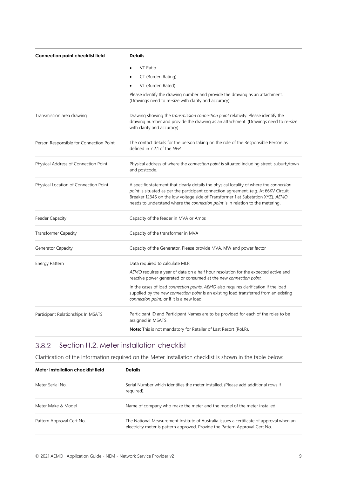| Connection point checklist field        | <b>Details</b>                                                                                                                                                                                                                                                                                                                                       |  |
|-----------------------------------------|------------------------------------------------------------------------------------------------------------------------------------------------------------------------------------------------------------------------------------------------------------------------------------------------------------------------------------------------------|--|
|                                         | VT Ratio                                                                                                                                                                                                                                                                                                                                             |  |
|                                         | CT (Burden Rating)                                                                                                                                                                                                                                                                                                                                   |  |
|                                         | VT (Burden Rated)                                                                                                                                                                                                                                                                                                                                    |  |
|                                         | Please identify the drawing number and provide the drawing as an attachment.<br>(Drawings need to re-size with clarity and accuracy).                                                                                                                                                                                                                |  |
| Transmission area drawing               | Drawing showing the <i>transmission connection point</i> relativity. Please identify the<br>drawing number and provide the drawing as an attachment. (Drawings need to re-size<br>with clarity and accuracy).                                                                                                                                        |  |
| Person Responsible for Connection Point | The contact details for the person taking on the role of the Responsible Person as<br>defined in 7.2.1 of the NER.                                                                                                                                                                                                                                   |  |
| Physical Address of Connection Point    | Physical address of where the connection point is situated including street, suburb/town<br>and postcode.                                                                                                                                                                                                                                            |  |
| Physical Location of Connection Point   | A specific statement that clearly details the physical locality of where the connection<br>point is situated as per the participant connection agreement. (e.g. At 66KV Circuit<br>Breaker 12345 on the low voltage side of Transformer 1 at Substation XYZ). AEMO<br>needs to understand where the connection point is in relation to the metering. |  |
| <b>Feeder Capacity</b>                  | Capacity of the feeder in MVA or Amps                                                                                                                                                                                                                                                                                                                |  |
| <b>Transformer Capacity</b>             | Capacity of the transformer in MVA                                                                                                                                                                                                                                                                                                                   |  |
| Generator Capacity                      | Capacity of the Generator. Please provide MVA, MW and power factor                                                                                                                                                                                                                                                                                   |  |
| Energy Pattern                          | Data required to calculate MLF:                                                                                                                                                                                                                                                                                                                      |  |
|                                         | AEMO requires a year of data on a half hour resolution for the expected active and<br>reactive power generated or consumed at the new connection point.                                                                                                                                                                                              |  |
|                                         | In the cases of load <i>connection points, AEMO</i> also requires clarification if the load<br>supplied by the new connection point is an existing load transferred from an existing<br>connection point, or if it is a new load.                                                                                                                    |  |
| Participant Relationships In MSATS      | Participant ID and Participant Names are to be provided for each of the roles to be<br>assigned in MSATS.                                                                                                                                                                                                                                            |  |
|                                         | <b>Note:</b> This is not mandatory for Retailer of Last Resort (RoLR).                                                                                                                                                                                                                                                                               |  |

#### $3.8.2$ Section H.2. Meter installation checklist

Clarification of the information required on the Meter Installation checklist is shown in the table below:

| Meter Installation checklist field | <b>Details</b>                                                                                                                                                           |  |
|------------------------------------|--------------------------------------------------------------------------------------------------------------------------------------------------------------------------|--|
| Meter Serial No.                   | Serial Number which identifies the meter installed. (Please add additional rows if<br>required).                                                                         |  |
| Meter Make & Model                 | Name of company who make the meter and the model of the meter installed                                                                                                  |  |
| Pattern Approval Cert No.          | The National Measurement Institute of Australia issues a certificate of approval when an<br>electricity meter is pattern approved. Provide the Pattern Approval Cert No. |  |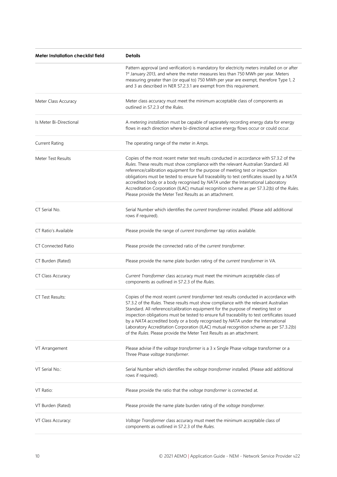| Meter Installation checklist field | <b>Details</b>                                                                                                                                                                                                                                                                                                                                                                                                                                                                                                                                                                                                                    |
|------------------------------------|-----------------------------------------------------------------------------------------------------------------------------------------------------------------------------------------------------------------------------------------------------------------------------------------------------------------------------------------------------------------------------------------------------------------------------------------------------------------------------------------------------------------------------------------------------------------------------------------------------------------------------------|
|                                    | Pattern approval (and verification) is mandatory for electricity meters installed on or after<br>1st January 2013, and where the meter measures less than 750 MWh per year. Meters<br>measuring greater than (or equal to) 750 MWh per year are exempt, therefore Type 1, 2<br>and 3 as described in NER S7.2.3.1 are exempt from this requirement.                                                                                                                                                                                                                                                                               |
| Meter Class Accuracy               | Meter class accuracy must meet the minimum acceptable class of components as<br>outlined in S7.2.3 of the Rules.                                                                                                                                                                                                                                                                                                                                                                                                                                                                                                                  |
| Is Meter Bi-Directional            | A metering installation must be capable of separately recording energy data for energy<br>flows in each direction where bi-directional active energy flows occur or could occur.                                                                                                                                                                                                                                                                                                                                                                                                                                                  |
| <b>Current Rating</b>              | The operating range of the meter in Amps.                                                                                                                                                                                                                                                                                                                                                                                                                                                                                                                                                                                         |
| Meter Test Results                 | Copies of the most recent meter test results conducted in accordance with S7.3.2 of the<br>Rules. These results must show compliance with the relevant Australian Standard. All<br>reference/calibration equipment for the purpose of meeting test or inspection<br>obligations must be tested to ensure full traceability to test certificates issued by a NATA<br>accredited body or a body recognised by NATA under the International Laboratory<br>Accreditation Corporation (ILAC) mutual recognition scheme as per S7.3.2(b) of the Rules.<br>Please provide the Meter Test Results as an attachment.                       |
| CT Serial No.                      | Serial Number which identifies the current transformer installed. (Please add additional<br>rows if required).                                                                                                                                                                                                                                                                                                                                                                                                                                                                                                                    |
| CT Ratio's Available               | Please provide the range of current transformer tap ratios available.                                                                                                                                                                                                                                                                                                                                                                                                                                                                                                                                                             |
| <b>CT Connected Ratio</b>          | Please provide the connected ratio of the current transformer.                                                                                                                                                                                                                                                                                                                                                                                                                                                                                                                                                                    |
| CT Burden (Rated)                  | Please provide the name plate burden rating of the current transformer in VA.                                                                                                                                                                                                                                                                                                                                                                                                                                                                                                                                                     |
| CT Class Accuracy                  | Current Transformer class accuracy must meet the minimum acceptable class of<br>components as outlined in S7.2.3 of the Rules.                                                                                                                                                                                                                                                                                                                                                                                                                                                                                                    |
| <b>CT Test Results:</b>            | Copies of the most recent current transformer test results conducted in accordance with<br>S7.3.2 of the <i>Rules</i> . These results must show compliance with the relevant Australian<br>Standard. All reference/calibration equipment for the purpose of meeting test or<br>inspection obligations must be tested to ensure full traceability to test certificates issued<br>by a NATA accredited body or a body recognised by NATA under the International<br>Laboratory Accreditation Corporation (ILAC) mutual recognition scheme as per S7.3.2(b)<br>of the Rules. Please provide the Meter Test Results as an attachment. |
| VT Arrangement                     | Please advise if the voltage transformer is a 3 x Single Phase voltage transformer or a<br>Three Phase voltage transformer.                                                                                                                                                                                                                                                                                                                                                                                                                                                                                                       |
| VT Serial No.:                     | Serial Number which identifies the voltage transformer installed. (Please add additional<br>rows if required).                                                                                                                                                                                                                                                                                                                                                                                                                                                                                                                    |
| VT Ratio:                          | Please provide the ratio that the voltage transformer is connected at.                                                                                                                                                                                                                                                                                                                                                                                                                                                                                                                                                            |
| VT Burden (Rated)                  | Please provide the name plate burden rating of the voltage transformer.                                                                                                                                                                                                                                                                                                                                                                                                                                                                                                                                                           |
| VT Class Accuracy:                 | Voltage Transformer class accuracy must meet the minimum acceptable class of<br>components as outlined in S7.2.3 of the Rules.                                                                                                                                                                                                                                                                                                                                                                                                                                                                                                    |